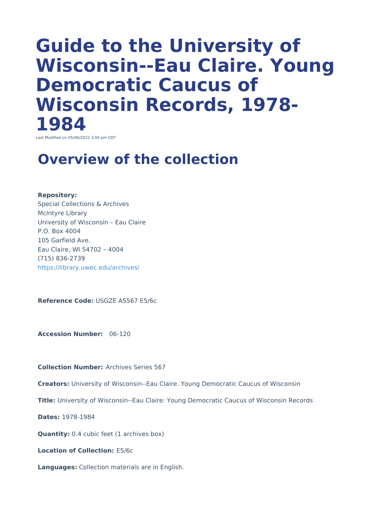# **Guide to the University of Wisconsin--Eau Claire. Young Democratic Caucus of Wisconsin Records, 1978- 1984**

Last Modified on 05/06/2022 3:00 pm CDT

### **Overview of the collection**

#### **Repository:**

Special Collections & Archives McIntyre Library University of Wisconsin – Eau Claire P.O. Box 4004 105 Garfield Ave. Eau Claire, WI 54702 – 4004 (715) 836-2739 <https://library.uwec.edu/archives/>

**Reference Code:** USGZE AS567 E5/6c

**Accession Number:** 06-120

**Collection Number:** Archives Series 567

**Creators:** University of Wisconsin--Eau Claire. Young Democratic Caucus of Wisconsin

**Title:** University of Wisconsin--Eau Claire: Young Democratic Caucus of Wisconsin Records

**Dates:** 1978-1984

**Quantity:** 0.4 cubic feet (1 archives box)

**Location of Collection:** E5/6c

**Languages:** Collection materials are in English.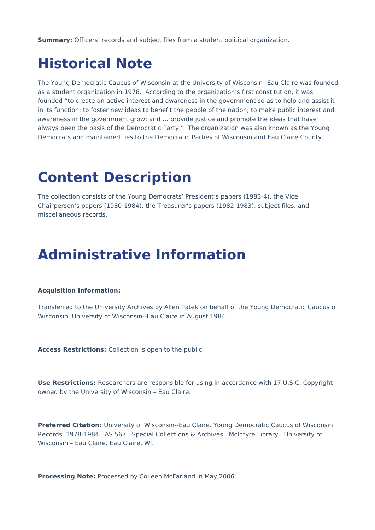**Summary:** Officers' records and subject files from a student political organization.

### **Historical Note**

The Young Democratic Caucus of Wisconsin at the University of Wisconsin--Eau Claire was founded as a student organization in 1978. According to the organization's first constitution, it was founded "to create an active interest and awareness in the government so as to help and assist it in its function; to foster new ideas to benefit the people of the nation; to make public interest and awareness in the government grow; and … provide justice and promote the ideas that have always been the basis of the Democratic Party." The organization was also known as the Young Democrats and maintained ties to the Democratic Parties of Wisconsin and Eau Claire County.

# **Content Description**

The collection consists of the Young Democrats' President's papers (1983-4), the Vice Chairperson's papers (1980-1984), the Treasurer's papers (1982-1983), subject files, and miscellaneous records.

### **Administrative Information**

### **Acquisition Information:**

Transferred to the University Archives by Allen Patek on behalf of the Young Democratic Caucus of Wisconsin, University of Wisconsin--Eau Claire in August 1984.

**Access Restrictions:** Collection is open to the public.

**Use Restrictions:** Researchers are responsible for using in accordance with 17 U.S.C. Copyright owned by the University of Wisconsin – Eau Claire.

**Preferred Citation:** University of Wisconsin--Eau Claire. Young Democratic Caucus of Wisconsin Records, 1978-1984. AS 567. Special Collections & Archives. McIntyre Library. University of Wisconsin – Eau Claire. Eau Claire, WI.

**Processing Note:** Processed by Colleen McFarland in May 2006.